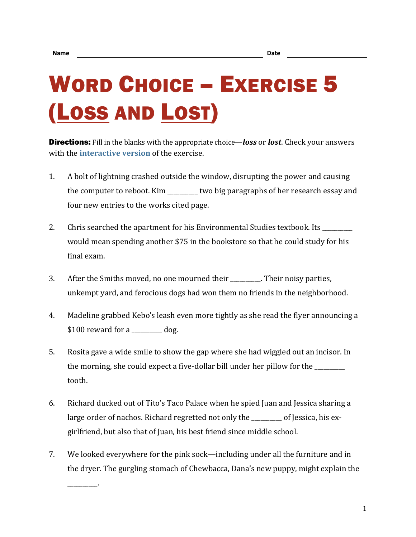\_\_\_\_\_\_\_\_\_\_.

## WORD CHOICE – EXERCISE 5 (LOSS AND LOST)

Directions: Fill in the blanks with the appropriate choice—*loss* or *lost*. Check your answers with the **[interactive version](https://chompchomp.com/hotpotatoes/wordchoice05.htm)** of the exercise.

- 1. A bolt of lightning crashed outside the window, disrupting the power and causing the computer to reboot. Kim \_\_\_\_\_\_\_\_\_\_ two big paragraphs of her research essay and four new entries to the works cited page.
- 2. Chris searched the apartment for his Environmental Studies textbook. Its \_\_\_\_\_\_\_\_ would mean spending another \$75 in the bookstore so that he could study for his final exam.
- 3. After the Smiths moved, no one mourned their \_\_\_\_\_\_\_\_\_\_. Their noisy parties, unkempt yard, and ferocious dogs had won them no friends in the neighborhood.
- 4. Madeline grabbed Kebo's leash even more tightly as she read the flyer announcing a \$100 reward for a \_\_\_\_\_\_\_\_\_\_ dog.
- 5. Rosita gave a wide smile to show the gap where she had wiggled out an incisor. In the morning, she could expect a five-dollar bill under her pillow for the \_\_\_\_\_\_\_ tooth.
- 6. Richard ducked out of Tito's Taco Palace when he spied Juan and Jessica sharing a large order of nachos. Richard regretted not only the \_\_\_\_\_\_\_\_\_\_ of Jessica, his exgirlfriend, but also that of Juan, his best friend since middle school.
- 7. We looked everywhere for the pink sock—including under all the furniture and in the dryer. The gurgling stomach of Chewbacca, Dana's new puppy, might explain the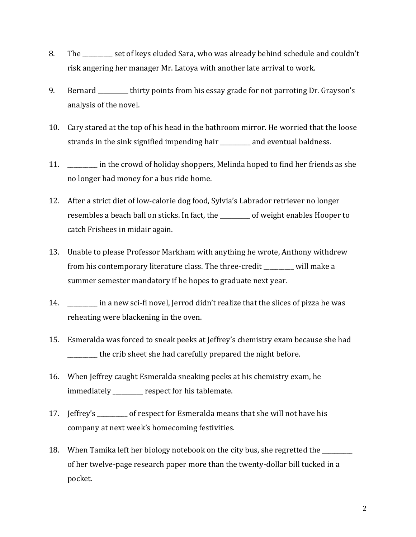- 8. The set of keys eluded Sara, who was already behind schedule and couldn't risk angering her manager Mr. Latoya with another late arrival to work.
- 9. Bernard <u>equal</u> thirty points from his essay grade for not parroting Dr. Grayson's analysis of the novel.
- 10. Cary stared at the top of his head in the bathroom mirror. He worried that the loose strands in the sink signified impending hair \_\_\_\_\_\_\_\_\_\_ and eventual baldness.
- 11. \_\_\_\_\_\_\_\_\_\_ in the crowd of holiday shoppers, Melinda hoped to find her friends as she no longer had money for a bus ride home.
- 12. After a strict diet of low-calorie dog food, Sylvia's Labrador retriever no longer resembles a beach ball on sticks. In fact, the \_\_\_\_\_\_\_\_\_\_ of weight enables Hooper to catch Frisbees in midair again.
- 13. Unable to please Professor Markham with anything he wrote, Anthony withdrew from his contemporary literature class. The three-credit \_\_\_\_\_\_\_\_\_\_ will make a summer semester mandatory if he hopes to graduate next year.
- 14. **Example 1 in a new sci-fi novel, Jerrod didn't realize that the slices of pizza he was** reheating were blackening in the oven.
- 15. Esmeralda was forced to sneak peeks at Jeffrey's chemistry exam because she had \_\_\_\_\_\_\_\_\_\_ the crib sheet she had carefully prepared the night before.
- 16. When Jeffrey caught Esmeralda sneaking peeks at his chemistry exam, he immediately \_\_\_\_\_\_\_\_\_\_ respect for his tablemate.
- 17. Jeffrey's \_\_\_\_\_\_\_\_\_\_ of respect for Esmeralda means that she will not have his company at next week's homecoming festivities.
- 18. When Tamika left her biology notebook on the city bus, she regretted the \_\_\_\_\_\_\_\_\_\_ of her twelve-page research paper more than the twenty-dollar bill tucked in a pocket.